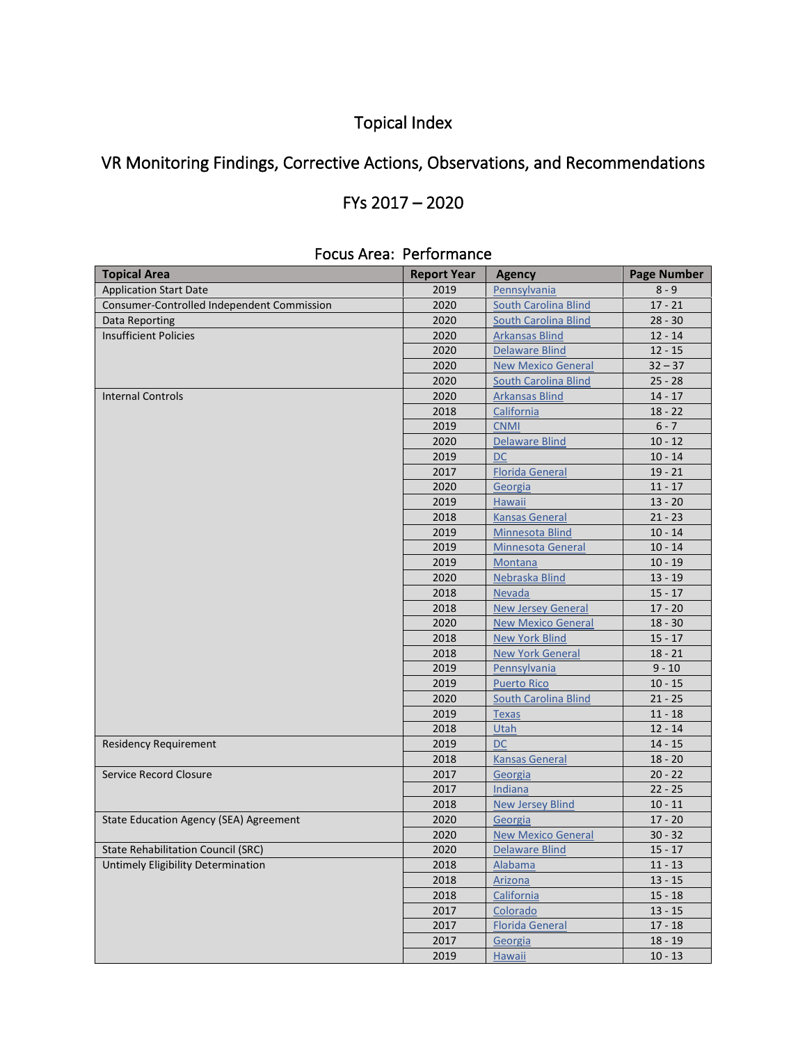# Topical Index

# VR Monitoring Findings, Corrective Actions, Observations, and Recommendations

## FYs 2017 – 2020

| <b>Topical Area</b>                        | <b>Report Year</b> | <b>Agency</b>               | <b>Page Number</b> |
|--------------------------------------------|--------------------|-----------------------------|--------------------|
| <b>Application Start Date</b>              | 2019               | Pennsylvania                | $8 - 9$            |
| Consumer-Controlled Independent Commission | 2020               | <b>South Carolina Blind</b> | $17 - 21$          |
| Data Reporting                             | 2020               | <b>South Carolina Blind</b> | $28 - 30$          |
| <b>Insufficient Policies</b>               | 2020               | <b>Arkansas Blind</b>       | $12 - 14$          |
|                                            | 2020               | <b>Delaware Blind</b>       | $12 - 15$          |
|                                            | 2020               | <b>New Mexico General</b>   | $32 - 37$          |
|                                            | 2020               | <b>South Carolina Blind</b> | $25 - 28$          |
| <b>Internal Controls</b>                   | 2020               | <b>Arkansas Blind</b>       | $14 - 17$          |
|                                            | 2018               | California                  | $18 - 22$          |
|                                            | 2019               | <b>CNMI</b>                 | $6 - 7$            |
|                                            | 2020               | <b>Delaware Blind</b>       | $10 - 12$          |
|                                            | 2019               | DC                          | $10 - 14$          |
|                                            | 2017               | <b>Florida General</b>      | $19 - 21$          |
|                                            | 2020               | Georgia                     | $11 - 17$          |
|                                            | 2019               | <b>Hawaii</b>               | $13 - 20$          |
|                                            | 2018               | <b>Kansas General</b>       | $21 - 23$          |
|                                            | 2019               | Minnesota Blind             | $10 - 14$          |
|                                            | 2019               | <b>Minnesota General</b>    | $10 - 14$          |
|                                            | 2019               | Montana                     | $10 - 19$          |
|                                            | 2020               | Nebraska Blind              | $13 - 19$          |
|                                            | 2018               | <b>Nevada</b>               | $15 - 17$          |
|                                            | 2018               | <b>New Jersey General</b>   | $17 - 20$          |
|                                            | 2020               | <b>New Mexico General</b>   | $18 - 30$          |
|                                            | 2018               | <b>New York Blind</b>       | $15 - 17$          |
|                                            | 2018               | <b>New York General</b>     | $18 - 21$          |
|                                            | 2019               | Pennsylvania                | $9 - 10$           |
|                                            | 2019               | <b>Puerto Rico</b>          | $10 - 15$          |
|                                            | 2020               | <b>South Carolina Blind</b> | $21 - 25$          |
|                                            | 2019               | <b>Texas</b>                | $11 - 18$          |
|                                            | 2018               | Utah                        | $12 - 14$          |
| <b>Residency Requirement</b>               | 2019               | <b>DC</b>                   | $14 - 15$          |
|                                            | 2018               | <b>Kansas General</b>       | $18 - 20$          |
| Service Record Closure                     | 2017               | Georgia                     | $20 - 22$          |
|                                            | 2017               | Indiana                     | $22 - 25$          |
|                                            | 2018               | <b>New Jersey Blind</b>     | $10 - 11$          |
| State Education Agency (SEA) Agreement     | 2020               | Georgia                     | $17 - 20$          |
|                                            | 2020               | <b>New Mexico General</b>   | $30 - 32$          |
| <b>State Rehabilitation Council (SRC)</b>  | 2020               | Delaware Blind              | $15 - 17$          |
| Untimely Eligibility Determination         | 2018               | Alabama                     | $11 - 13$          |
|                                            | 2018               | Arizona                     | $13 - 15$          |
|                                            | 2018               | California                  | $15 - 18$          |
|                                            | 2017               | Colorado                    | $13 - 15$          |
|                                            | 2017               | <b>Florida General</b>      | $17 - 18$          |
|                                            | 2017               | Georgia                     | $18 - 19$          |
|                                            | 2019               | <b>Hawaii</b>               | $10 - 13$          |
|                                            |                    |                             |                    |

#### Focus Area: Performance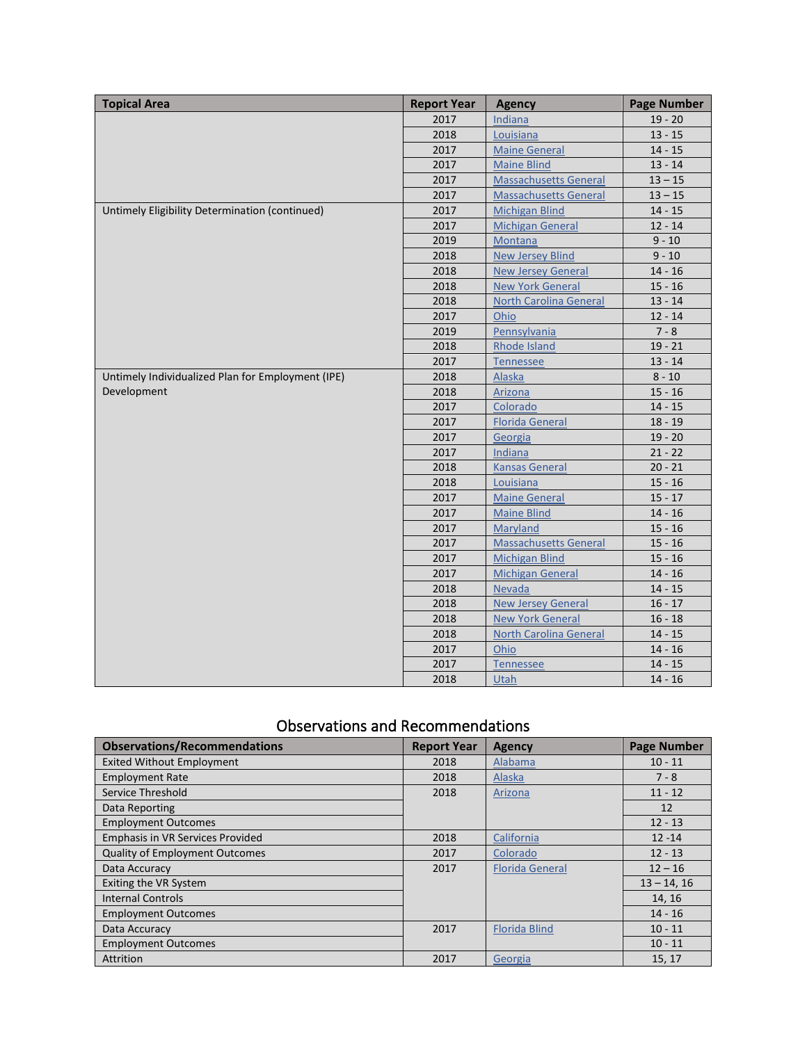| <b>Topical Area</b>                               | <b>Report Year</b> | <b>Agency</b>                 | <b>Page Number</b> |
|---------------------------------------------------|--------------------|-------------------------------|--------------------|
|                                                   | 2017               | Indiana                       | $19 - 20$          |
|                                                   | 2018               | Louisiana                     | $13 - 15$          |
|                                                   | 2017               | <b>Maine General</b>          | $14 - 15$          |
|                                                   | 2017               | <b>Maine Blind</b>            | $13 - 14$          |
|                                                   | 2017               | <b>Massachusetts General</b>  | $13 - 15$          |
|                                                   | 2017               | <b>Massachusetts General</b>  | $13 - 15$          |
| Untimely Eligibility Determination (continued)    | 2017               | <b>Michigan Blind</b>         | $14 - 15$          |
|                                                   | 2017               | <b>Michigan General</b>       | $12 - 14$          |
|                                                   | 2019               | Montana                       | $9 - 10$           |
|                                                   | 2018               | <b>New Jersey Blind</b>       | $9 - 10$           |
|                                                   | 2018               | <b>New Jersey General</b>     | $14 - 16$          |
|                                                   | 2018               | <b>New York General</b>       | $15 - 16$          |
|                                                   | 2018               | <b>North Carolina General</b> | $13 - 14$          |
|                                                   | 2017               | Ohio                          | $12 - 14$          |
|                                                   | 2019               | Pennsylvania                  | $7 - 8$            |
|                                                   | 2018               | Rhode Island                  | $19 - 21$          |
|                                                   | 2017               | <b>Tennessee</b>              | $13 - 14$          |
| Untimely Individualized Plan for Employment (IPE) | 2018               | <b>Alaska</b>                 | $8 - 10$           |
| Development                                       | 2018               | Arizona                       | $15 - 16$          |
|                                                   | 2017               | Colorado                      | $14 - 15$          |
|                                                   | 2017               | <b>Florida General</b>        | $18 - 19$          |
|                                                   | 2017               | Georgia                       | $19 - 20$          |
|                                                   | 2017               | Indiana                       | $21 - 22$          |
|                                                   | 2018               | <b>Kansas General</b>         | $20 - 21$          |
|                                                   | 2018               | Louisiana                     | $15 - 16$          |
|                                                   | 2017               | <b>Maine General</b>          | $15 - 17$          |
|                                                   | 2017               | <b>Maine Blind</b>            | $14 - 16$          |
|                                                   | 2017               | Maryland                      | $15 - 16$          |
|                                                   | 2017               | <b>Massachusetts General</b>  | $15 - 16$          |
|                                                   | 2017               | <b>Michigan Blind</b>         | $15 - 16$          |
|                                                   | 2017               | <b>Michigan General</b>       | $14 - 16$          |
|                                                   | 2018               | <b>Nevada</b>                 | $14 - 15$          |
|                                                   | 2018               | <b>New Jersey General</b>     | $16 - 17$          |
|                                                   | 2018               | <b>New York General</b>       | $16 - 18$          |
|                                                   | 2018               | <b>North Carolina General</b> | $14 - 15$          |
|                                                   | 2017               | Ohio                          | $14 - 16$          |
|                                                   | 2017               | <b>Tennessee</b>              | $14 - 15$          |
|                                                   | 2018               | <b>Utah</b>                   | $14 - 16$          |

### Observations and Recommendations

| <b>Observations/Recommendations</b>   | <b>Report Year</b> | <b>Agency</b>          | <b>Page Number</b> |
|---------------------------------------|--------------------|------------------------|--------------------|
| <b>Exited Without Employment</b>      | 2018               | Alabama                | $10 - 11$          |
| <b>Employment Rate</b>                | 2018               | Alaska                 | $7 - 8$            |
| Service Threshold                     | 2018               | Arizona                | $11 - 12$          |
| Data Reporting                        |                    |                        | 12                 |
| <b>Employment Outcomes</b>            |                    |                        | $12 - 13$          |
| Emphasis in VR Services Provided      | 2018               | California             | $12 - 14$          |
| <b>Quality of Employment Outcomes</b> | 2017               | Colorado               | $12 - 13$          |
| Data Accuracy                         | 2017               | <b>Florida General</b> | $12 - 16$          |
| Exiting the VR System                 |                    |                        | $13 - 14.16$       |
| <b>Internal Controls</b>              |                    |                        | 14, 16             |
| <b>Employment Outcomes</b>            |                    |                        | $14 - 16$          |
| Data Accuracy                         | 2017               | <b>Florida Blind</b>   | $10 - 11$          |
| <b>Employment Outcomes</b>            |                    |                        | $10 - 11$          |
| Attrition                             | 2017               | Georgia                | 15, 17             |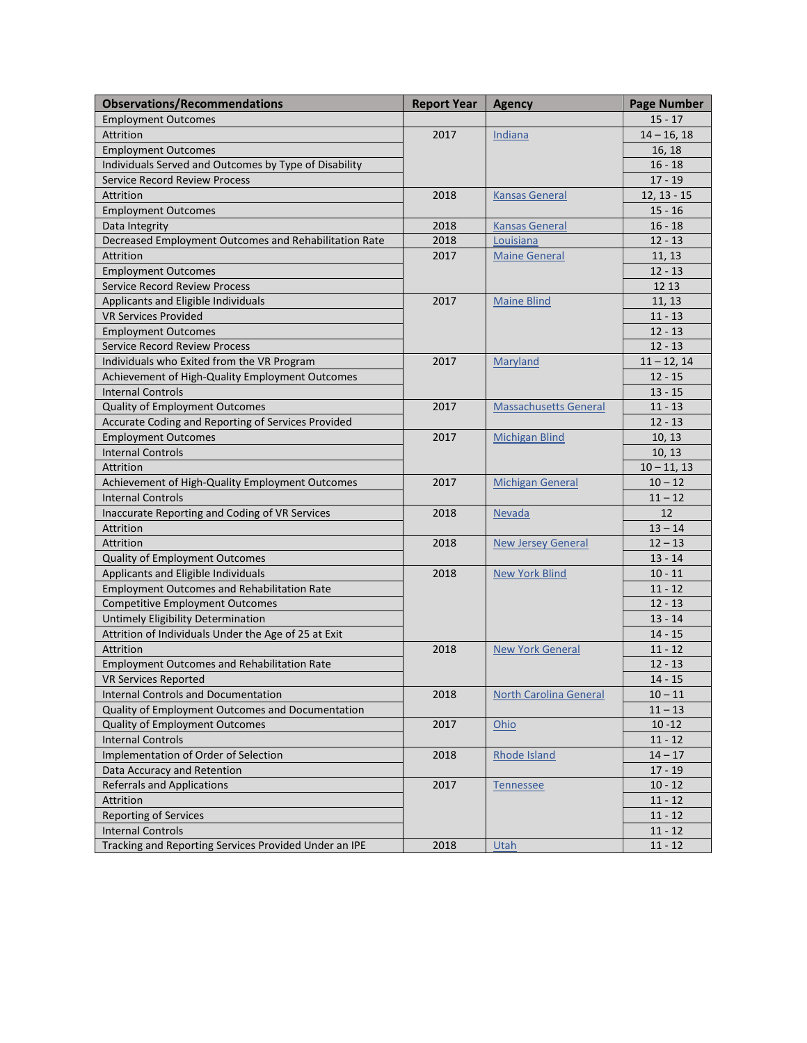| <b>Observations/Recommendations</b>                   | <b>Report Year</b> | <b>Agency</b>                 | <b>Page Number</b> |
|-------------------------------------------------------|--------------------|-------------------------------|--------------------|
| <b>Employment Outcomes</b>                            |                    |                               | $15 - 17$          |
| Attrition                                             | 2017               | Indiana                       | $14 - 16, 18$      |
| <b>Employment Outcomes</b>                            |                    |                               | 16, 18             |
| Individuals Served and Outcomes by Type of Disability |                    |                               | $16 - 18$          |
| <b>Service Record Review Process</b>                  |                    |                               | $17 - 19$          |
| Attrition                                             | 2018               | <b>Kansas General</b>         | $12, 13 - 15$      |
| <b>Employment Outcomes</b>                            |                    |                               | $15 - 16$          |
| Data Integrity                                        | 2018               | <b>Kansas General</b>         | $16 - 18$          |
| Decreased Employment Outcomes and Rehabilitation Rate | 2018               | Louisiana                     | $12 - 13$          |
| Attrition                                             | 2017               | <b>Maine General</b>          | 11, 13             |
| <b>Employment Outcomes</b>                            |                    |                               | $12 - 13$          |
| <b>Service Record Review Process</b>                  |                    |                               | 12 13              |
| Applicants and Eligible Individuals                   | 2017               | <b>Maine Blind</b>            | 11, 13             |
| <b>VR Services Provided</b>                           |                    |                               | $11 - 13$          |
| <b>Employment Outcomes</b>                            |                    |                               | $12 - 13$          |
| <b>Service Record Review Process</b>                  |                    |                               | $12 - 13$          |
| Individuals who Exited from the VR Program            | 2017               | Maryland                      | $11 - 12, 14$      |
| Achievement of High-Quality Employment Outcomes       |                    |                               | $12 - 15$          |
| <b>Internal Controls</b>                              |                    |                               | $13 - 15$          |
| Quality of Employment Outcomes                        | 2017               | <b>Massachusetts General</b>  | $11 - 13$          |
| Accurate Coding and Reporting of Services Provided    |                    |                               | $12 - 13$          |
| <b>Employment Outcomes</b>                            | 2017               | <b>Michigan Blind</b>         | 10, 13             |
| <b>Internal Controls</b>                              |                    |                               | 10, 13             |
| <b>Attrition</b>                                      |                    |                               | $10 - 11, 13$      |
| Achievement of High-Quality Employment Outcomes       | 2017               | <b>Michigan General</b>       | $10 - 12$          |
| <b>Internal Controls</b>                              |                    |                               | $11 - 12$          |
| Inaccurate Reporting and Coding of VR Services        | 2018               | Nevada                        | 12                 |
| Attrition                                             |                    |                               | $13 - 14$          |
| Attrition                                             | 2018               | <b>New Jersey General</b>     | $12 - 13$          |
| Quality of Employment Outcomes                        |                    |                               | $13 - 14$          |
| Applicants and Eligible Individuals                   | 2018               | <b>New York Blind</b>         | $10 - 11$          |
| <b>Employment Outcomes and Rehabilitation Rate</b>    |                    |                               | $11 - 12$          |
| <b>Competitive Employment Outcomes</b>                |                    |                               | $12 - 13$          |
| <b>Untimely Eligibility Determination</b>             |                    |                               | $13 - 14$          |
| Attrition of Individuals Under the Age of 25 at Exit  |                    |                               | $14 - 15$          |
| Attrition                                             | 2018               | <b>New York General</b>       | $11 - 12$          |
| <b>Employment Outcomes and Rehabilitation Rate</b>    |                    |                               | $12 - 13$          |
| <b>VR Services Reported</b>                           |                    |                               | $14 - 15$          |
| <b>Internal Controls and Documentation</b>            | 2018               | <b>North Carolina General</b> | $10 - 11$          |
| Quality of Employment Outcomes and Documentation      |                    |                               | $11 - 13$          |
| <b>Quality of Employment Outcomes</b>                 | 2017               | Ohio                          | $10 - 12$          |
| <b>Internal Controls</b>                              |                    |                               | $11 - 12$          |
| Implementation of Order of Selection                  | 2018               | Rhode Island                  | $14 - 17$          |
| Data Accuracy and Retention                           |                    |                               | $17 - 19$          |
| <b>Referrals and Applications</b>                     | 2017               | Tennessee                     | $10 - 12$          |
| Attrition                                             |                    |                               | $11 - 12$          |
| Reporting of Services                                 |                    |                               | $11 - 12$          |
| <b>Internal Controls</b>                              |                    |                               | $11 - 12$          |
| Tracking and Reporting Services Provided Under an IPE | 2018               | Utah                          | $11 - 12$          |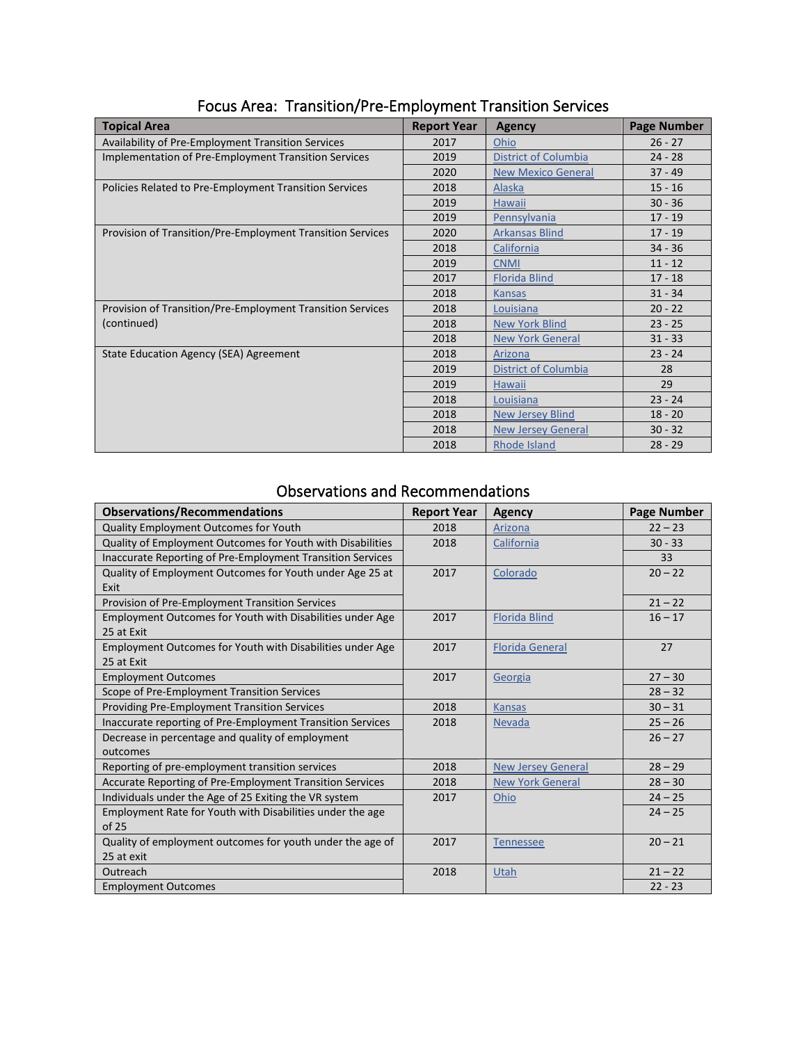| <b>Topical Area</b>                                        | <b>Report Year</b> | <b>Agency</b>               | <b>Page Number</b> |
|------------------------------------------------------------|--------------------|-----------------------------|--------------------|
| Availability of Pre-Employment Transition Services         | 2017               | Ohio                        | $26 - 27$          |
| Implementation of Pre-Employment Transition Services       | 2019               | <b>District of Columbia</b> | $24 - 28$          |
|                                                            | 2020               | <b>New Mexico General</b>   | $37 - 49$          |
| Policies Related to Pre-Employment Transition Services     | 2018               | <b>Alaska</b>               | $15 - 16$          |
|                                                            | 2019               | <b>Hawaii</b>               | $30 - 36$          |
|                                                            | 2019               | Pennsylvania                | $17 - 19$          |
| Provision of Transition/Pre-Employment Transition Services | 2020               | <b>Arkansas Blind</b>       | $17 - 19$          |
|                                                            | 2018               | California                  | $34 - 36$          |
|                                                            | 2019               | <b>CNMI</b>                 | $11 - 12$          |
|                                                            | 2017               | <b>Florida Blind</b>        | $17 - 18$          |
|                                                            | 2018               | <b>Kansas</b>               | $31 - 34$          |
| Provision of Transition/Pre-Employment Transition Services | 2018               | Louisiana                   | $20 - 22$          |
| (continued)                                                | 2018               | <b>New York Blind</b>       | $23 - 25$          |
|                                                            | 2018               | <b>New York General</b>     | $31 - 33$          |
| State Education Agency (SEA) Agreement                     | 2018               | Arizona                     | $23 - 24$          |
|                                                            | 2019               | <b>District of Columbia</b> | 28                 |
|                                                            | 2019               | <b>Hawaii</b>               | 29                 |
|                                                            | 2018               | Louisiana                   | $23 - 24$          |
|                                                            | 2018               | <b>New Jersey Blind</b>     | $18 - 20$          |
|                                                            | 2018               | <b>New Jersey General</b>   | $30 - 32$          |
|                                                            | 2018               | <b>Rhode Island</b>         | $28 - 29$          |

# Focus Area: Transition/Pre-Employment Transition Services

#### Observations and Recommendations

| <b>Observations/Recommendations</b>                                     | <b>Report Year</b> | <b>Agency</b>             | <b>Page Number</b> |
|-------------------------------------------------------------------------|--------------------|---------------------------|--------------------|
| Quality Employment Outcomes for Youth                                   | 2018               | Arizona                   | $22 - 23$          |
| Quality of Employment Outcomes for Youth with Disabilities              | 2018               | California                | $30 - 33$          |
| Inaccurate Reporting of Pre-Employment Transition Services              |                    |                           | 33                 |
| Quality of Employment Outcomes for Youth under Age 25 at<br>Exit        | 2017               | Colorado                  | $20 - 22$          |
| Provision of Pre-Employment Transition Services                         |                    |                           | $21 - 22$          |
| Employment Outcomes for Youth with Disabilities under Age<br>25 at Exit | 2017               | <b>Florida Blind</b>      | $16 - 17$          |
| Employment Outcomes for Youth with Disabilities under Age<br>25 at Exit | 2017               | <b>Florida General</b>    | 27                 |
| <b>Employment Outcomes</b>                                              | 2017               | Georgia                   | $27 - 30$          |
| Scope of Pre-Employment Transition Services                             |                    |                           | $28 - 32$          |
| Providing Pre-Employment Transition Services                            | 2018               | <b>Kansas</b>             | $30 - 31$          |
| Inaccurate reporting of Pre-Employment Transition Services              | 2018               | Nevada                    | $25 - 26$          |
| Decrease in percentage and quality of employment<br>outcomes            |                    |                           | $26 - 27$          |
| Reporting of pre-employment transition services                         | 2018               | <b>New Jersey General</b> | $28 - 29$          |
| Accurate Reporting of Pre-Employment Transition Services                | 2018               | <b>New York General</b>   | $28 - 30$          |
| Individuals under the Age of 25 Exiting the VR system                   | 2017               | Ohio                      | $24 - 25$          |
| Employment Rate for Youth with Disabilities under the age<br>of 25      |                    |                           | $24 - 25$          |
| Quality of employment outcomes for youth under the age of<br>25 at exit | 2017               | <b>Tennessee</b>          | $20 - 21$          |
| Outreach                                                                | 2018               | Utah                      | $21 - 22$          |
| <b>Employment Outcomes</b>                                              |                    |                           | $22 - 23$          |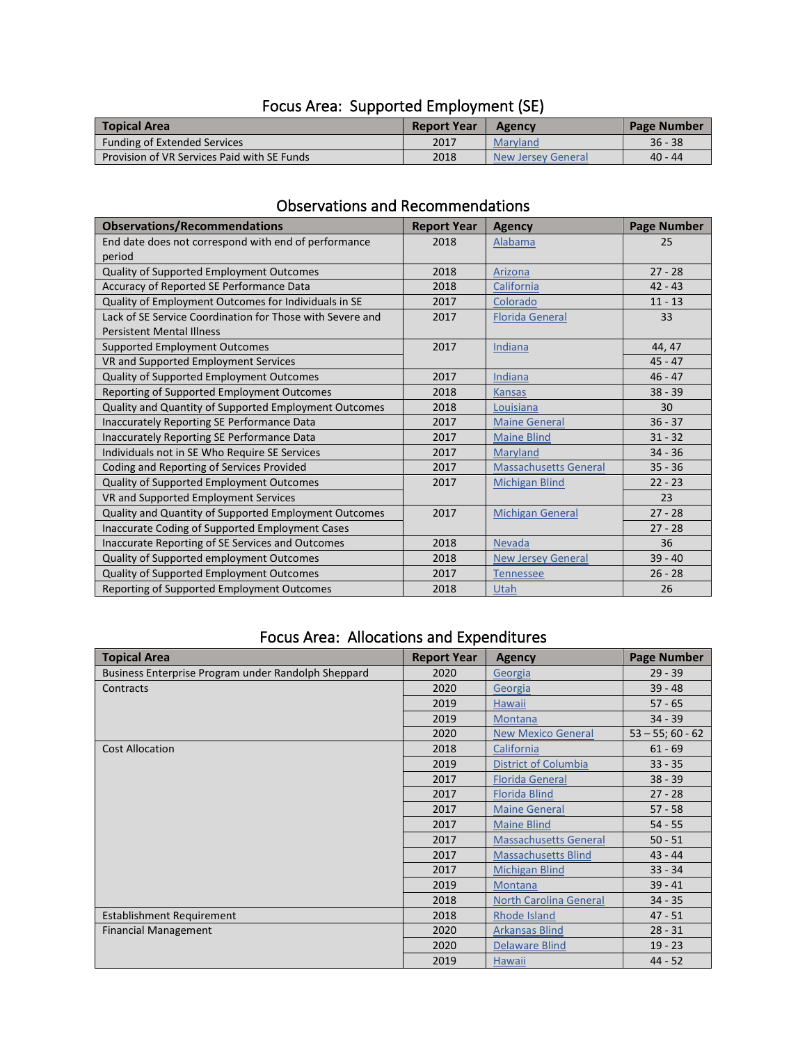| <b>Topical Area</b>                         | <b>Report Year</b> | <b>Agency</b>      | Page Number |
|---------------------------------------------|--------------------|--------------------|-------------|
| <b>Funding of Extended Services</b>         | 2017               | Maryland           | $36 - 38$   |
| Provision of VR Services Paid with SE Funds | 2018               | New Jersey General | $40 - 44$   |

### Focus Area: Supported Employment (SE)

### Observations and Recommendations

| <b>Observations/Recommendations</b>                       | <b>Report Year</b> | <b>Agency</b>                | <b>Page Number</b> |
|-----------------------------------------------------------|--------------------|------------------------------|--------------------|
| End date does not correspond with end of performance      | 2018               | Alabama                      | 25                 |
| period                                                    |                    |                              |                    |
| Quality of Supported Employment Outcomes                  | 2018               | Arizona                      | $27 - 28$          |
| Accuracy of Reported SE Performance Data                  | 2018               | California                   | $42 - 43$          |
| Quality of Employment Outcomes for Individuals in SE      | 2017               | Colorado                     | $11 - 13$          |
| Lack of SE Service Coordination for Those with Severe and | 2017               | <b>Florida General</b>       | 33                 |
| <b>Persistent Mental Illness</b>                          |                    |                              |                    |
| Supported Employment Outcomes                             | 2017               | Indiana                      | 44, 47             |
| VR and Supported Employment Services                      |                    |                              | $45 - 47$          |
| Quality of Supported Employment Outcomes                  | 2017               | Indiana                      | $46 - 47$          |
| Reporting of Supported Employment Outcomes                | 2018               | <b>Kansas</b>                | $38 - 39$          |
| Quality and Quantity of Supported Employment Outcomes     | 2018               | Louisiana                    | 30                 |
| Inaccurately Reporting SE Performance Data                | 2017               | <b>Maine General</b>         | $36 - 37$          |
| Inaccurately Reporting SE Performance Data                | 2017               | <b>Maine Blind</b>           | $31 - 32$          |
| Individuals not in SE Who Require SE Services             | 2017               | Maryland                     | $34 - 36$          |
| Coding and Reporting of Services Provided                 | 2017               | <b>Massachusetts General</b> | $35 - 36$          |
| Quality of Supported Employment Outcomes                  | 2017               | <b>Michigan Blind</b>        | $22 - 23$          |
| VR and Supported Employment Services                      |                    |                              | 23                 |
| Quality and Quantity of Supported Employment Outcomes     | 2017               | <b>Michigan General</b>      | $27 - 28$          |
| Inaccurate Coding of Supported Employment Cases           |                    |                              | $27 - 28$          |
| Inaccurate Reporting of SE Services and Outcomes          | 2018               | <b>Nevada</b>                | 36                 |
| Quality of Supported employment Outcomes                  | 2018               | <b>New Jersey General</b>    | $39 - 40$          |
| Quality of Supported Employment Outcomes                  | 2017               | <b>Tennessee</b>             | $26 - 28$          |
| Reporting of Supported Employment Outcomes                | 2018               | Utah                         | 26                 |

#### Focus Area: Allocations and Expenditures

| <b>Topical Area</b>                                 | <b>Report Year</b> | <b>Agency</b>                 | <b>Page Number</b>  |
|-----------------------------------------------------|--------------------|-------------------------------|---------------------|
| Business Enterprise Program under Randolph Sheppard | 2020               | Georgia                       | $29 - 39$           |
| Contracts                                           | 2020               | Georgia                       | $39 - 48$           |
|                                                     | 2019               | <b>Hawaii</b>                 | $57 - 65$           |
|                                                     | 2019               | <b>Montana</b>                | $34 - 39$           |
|                                                     | 2020               | <b>New Mexico General</b>     | $53 - 55$ ; 60 - 62 |
| <b>Cost Allocation</b>                              | 2018               | California                    | $61 - 69$           |
|                                                     | 2019               | <b>District of Columbia</b>   | $33 - 35$           |
|                                                     | 2017               | <b>Florida General</b>        | $38 - 39$           |
|                                                     | 2017               | <b>Florida Blind</b>          | $27 - 28$           |
|                                                     | 2017               | <b>Maine General</b>          | $57 - 58$           |
|                                                     | 2017               | <b>Maine Blind</b>            | $54 - 55$           |
|                                                     | 2017               | <b>Massachusetts General</b>  | $50 - 51$           |
|                                                     | 2017               | <b>Massachusetts Blind</b>    | $43 - 44$           |
|                                                     | 2017               | <b>Michigan Blind</b>         | $33 - 34$           |
|                                                     | 2019               | Montana                       | $39 - 41$           |
|                                                     | 2018               | <b>North Carolina General</b> | $34 - 35$           |
| Establishment Requirement                           | 2018               | Rhode Island                  | $47 - 51$           |
| <b>Financial Management</b>                         | 2020               | <b>Arkansas Blind</b>         | $28 - 31$           |
|                                                     | 2020               | <b>Delaware Blind</b>         | $19 - 23$           |
|                                                     | 2019               | Hawaii                        | $44 - 52$           |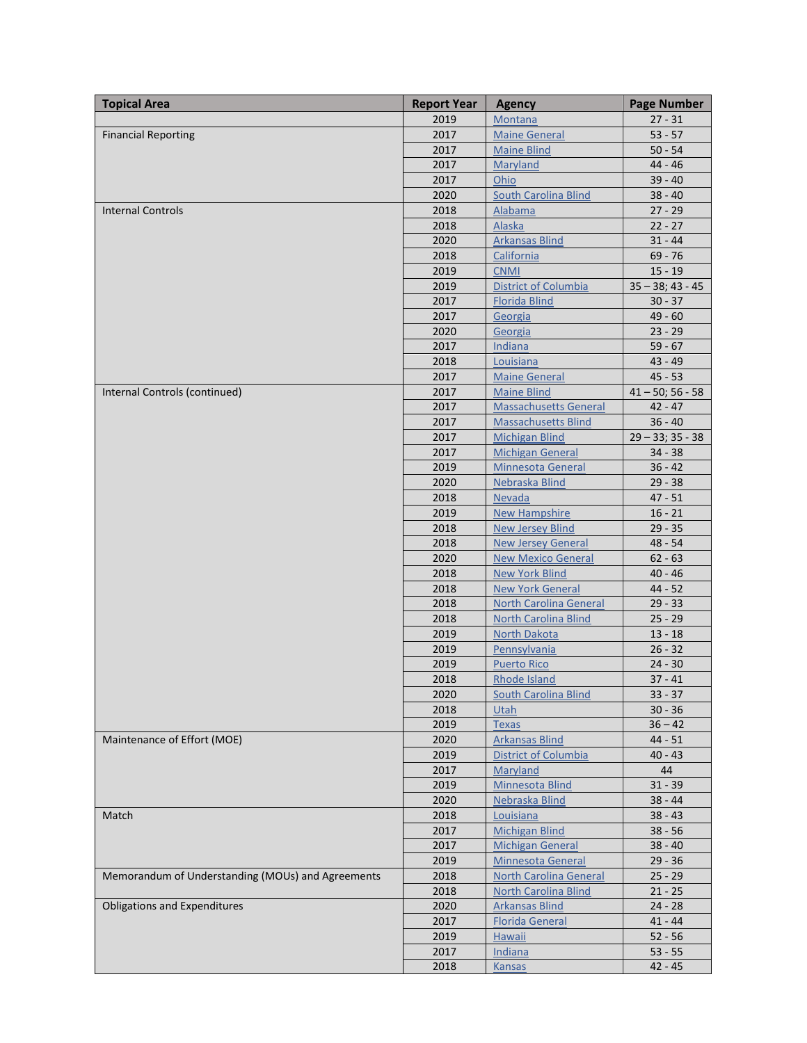| <b>Topical Area</b>                               | <b>Report Year</b> | <b>Agency</b>                 | <b>Page Number</b>  |
|---------------------------------------------------|--------------------|-------------------------------|---------------------|
|                                                   | 2019               | Montana                       | $27 - 31$           |
| <b>Financial Reporting</b>                        | 2017               | <b>Maine General</b>          | $53 - 57$           |
|                                                   | 2017               | <b>Maine Blind</b>            | $50 - 54$           |
|                                                   | 2017               | Maryland                      | $44 - 46$           |
|                                                   | 2017               | Ohio                          | $39 - 40$           |
|                                                   | 2020               | South Carolina Blind          | $38 - 40$           |
| <b>Internal Controls</b>                          | 2018               | Alabama                       | $27 - 29$           |
|                                                   | 2018               | <b>Alaska</b>                 | $22 - 27$           |
|                                                   | 2020               | <b>Arkansas Blind</b>         | $31 - 44$           |
|                                                   | 2018               | California                    | $69 - 76$           |
|                                                   | 2019               | <b>CNMI</b>                   | $15 - 19$           |
|                                                   | 2019               | <b>District of Columbia</b>   | $35 - 38$ ; 43 - 45 |
|                                                   | 2017               | <b>Florida Blind</b>          | $30 - 37$           |
|                                                   | 2017               | Georgia                       | $49 - 60$           |
|                                                   | 2020               | Georgia                       | $23 - 29$           |
|                                                   | 2017               | Indiana                       | $59 - 67$           |
|                                                   | 2018               | Louisiana                     | $43 - 49$           |
|                                                   | 2017               | <b>Maine General</b>          | $45 - 53$           |
| Internal Controls (continued)                     | 2017               | <b>Maine Blind</b>            | $41 - 50$ ; 56 - 58 |
|                                                   | 2017               | <b>Massachusetts General</b>  | $42 - 47$           |
|                                                   | 2017               | <b>Massachusetts Blind</b>    | $36 - 40$           |
|                                                   | 2017               | <b>Michigan Blind</b>         | $29 - 33$ ; 35 - 38 |
|                                                   | 2017               | <b>Michigan General</b>       | $34 - 38$           |
|                                                   | 2019               | <b>Minnesota General</b>      | $36 - 42$           |
|                                                   | 2020               | Nebraska Blind                | $29 - 38$           |
|                                                   | 2018               | Nevada                        | $47 - 51$           |
|                                                   | 2019               | <b>New Hampshire</b>          | $16 - 21$           |
|                                                   | 2018               | New Jersey Blind              | $29 - 35$           |
|                                                   | 2018               | <b>New Jersey General</b>     | $48 - 54$           |
|                                                   | 2020               | <b>New Mexico General</b>     | $62 - 63$           |
|                                                   | 2018               | <b>New York Blind</b>         | $40 - 46$           |
|                                                   | 2018               | <b>New York General</b>       | $44 - 52$           |
|                                                   | 2018               | <b>North Carolina General</b> | $29 - 33$           |
|                                                   | 2018               | <b>North Carolina Blind</b>   | $25 - 29$           |
|                                                   | 2019               | <b>North Dakota</b>           | $13 - 18$           |
|                                                   | 2019               | Pennsylvania                  | $26 - 32$           |
|                                                   | 2019               | <b>Puerto Rico</b>            | $24 - 30$           |
|                                                   | 2018               | Rhode Island                  | $37 - 41$           |
|                                                   | 2020               | <b>South Carolina Blind</b>   | $33 - 37$           |
|                                                   | 2018               | <b>Utah</b>                   | $30 - 36$           |
|                                                   | 2019               | <b>Texas</b>                  | $36 - 42$           |
| Maintenance of Effort (MOE)                       | 2020               | <b>Arkansas Blind</b>         | $44 - 51$           |
|                                                   | 2019               | District of Columbia          | $40 - 43$           |
|                                                   | 2017               | Maryland                      | 44                  |
|                                                   | 2019               | Minnesota Blind               | $31 - 39$           |
|                                                   | 2020               | Nebraska Blind                | $38 - 44$           |
| Match                                             | 2018               | Louisiana                     | $38 - 43$           |
|                                                   | 2017               | <b>Michigan Blind</b>         | $38 - 56$           |
|                                                   | 2017               | <b>Michigan General</b>       | $38 - 40$           |
|                                                   | 2019               | <b>Minnesota General</b>      | $29 - 36$           |
| Memorandum of Understanding (MOUs) and Agreements | 2018               | <b>North Carolina General</b> | $25 - 29$           |
|                                                   | 2018               | <b>North Carolina Blind</b>   | $21 - 25$           |
| <b>Obligations and Expenditures</b>               | 2020               | <b>Arkansas Blind</b>         | $24 - 28$           |
|                                                   | 2017               | <b>Florida General</b>        | $41 - 44$           |
|                                                   | 2019               | Hawaii                        | $52 - 56$           |
|                                                   | 2017               | <b>Indiana</b>                | $53 - 55$           |
|                                                   | 2018               | <b>Kansas</b>                 | $42 - 45$           |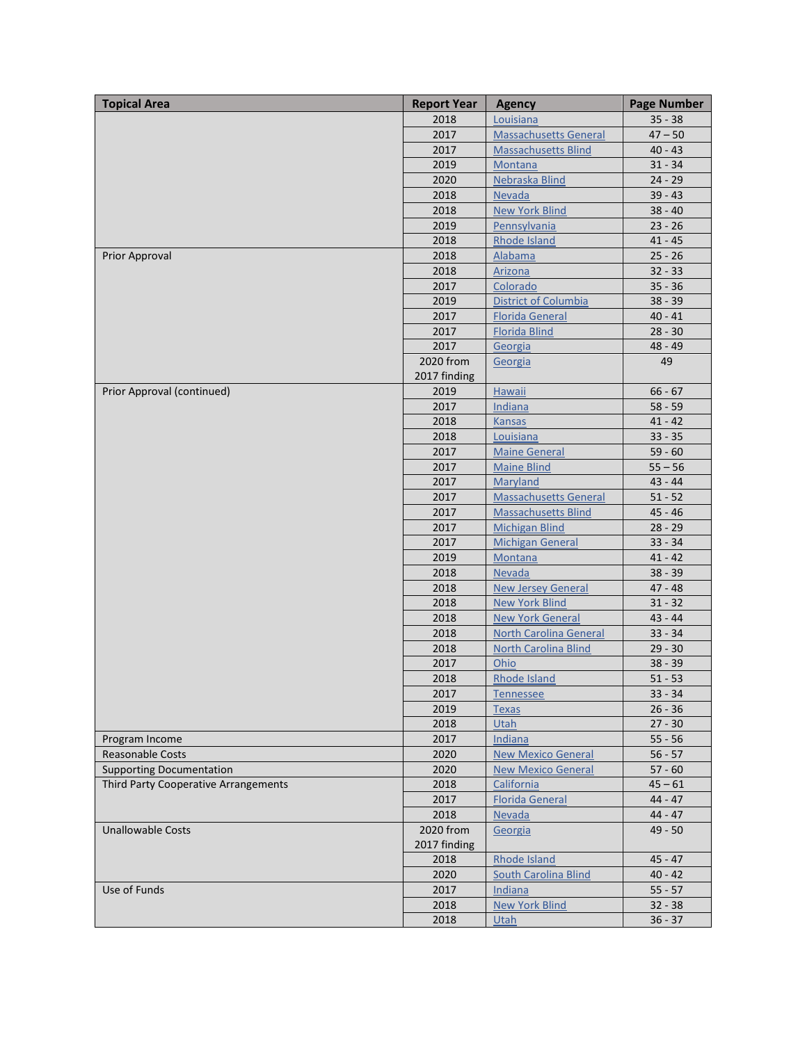| <b>Topical Area</b>                  | <b>Report Year</b> | <b>Agency</b>                 | <b>Page Number</b> |
|--------------------------------------|--------------------|-------------------------------|--------------------|
|                                      | 2018               | Louisiana                     | $35 - 38$          |
|                                      | 2017               | <b>Massachusetts General</b>  | $47 - 50$          |
|                                      | 2017               | <b>Massachusetts Blind</b>    | $40 - 43$          |
|                                      | 2019               | Montana                       | $31 - 34$          |
|                                      | 2020               | Nebraska Blind                | $24 - 29$          |
|                                      | 2018               | Nevada                        | $39 - 43$          |
|                                      | 2018               | <b>New York Blind</b>         | $38 - 40$          |
|                                      | 2019               | Pennsylvania                  | $23 - 26$          |
|                                      | 2018               | <b>Rhode Island</b>           | $41 - 45$          |
| Prior Approval                       | 2018               | Alabama                       | $25 - 26$          |
|                                      | 2018               | Arizona                       | $32 - 33$          |
|                                      | 2017               | Colorado                      | $35 - 36$          |
|                                      | 2019               | District of Columbia          | $38 - 39$          |
|                                      | 2017               | <b>Florida General</b>        | $40 - 41$          |
|                                      | 2017               | <b>Florida Blind</b>          | $28 - 30$          |
|                                      | 2017               | Georgia                       | $48 - 49$          |
|                                      | 2020 from          | Georgia                       | 49                 |
|                                      | 2017 finding       |                               |                    |
| Prior Approval (continued)           | 2019               | <b>Hawaii</b>                 | $66 - 67$          |
|                                      | 2017               | Indiana                       | $58 - 59$          |
|                                      | 2018               | <b>Kansas</b>                 | $41 - 42$          |
|                                      | 2018               | Louisiana                     | $33 - 35$          |
|                                      | 2017               | <b>Maine General</b>          | $59 - 60$          |
|                                      | 2017               | <b>Maine Blind</b>            | $55 - 56$          |
|                                      | 2017               | Maryland                      | $43 - 44$          |
|                                      | 2017               | <b>Massachusetts General</b>  | $51 - 52$          |
|                                      | 2017               | <b>Massachusetts Blind</b>    | $45 - 46$          |
|                                      | 2017               | <b>Michigan Blind</b>         | $28 - 29$          |
|                                      | 2017               | <b>Michigan General</b>       | $33 - 34$          |
|                                      | 2019               | <b>Montana</b>                | $41 - 42$          |
|                                      | 2018               | Nevada                        | $38 - 39$          |
|                                      | 2018               | <b>New Jersey General</b>     | $47 - 48$          |
|                                      | 2018               | New York Blind                | $31 - 32$          |
|                                      | 2018               | <b>New York General</b>       | $43 - 44$          |
|                                      | 2018               | <b>North Carolina General</b> | $33 - 34$          |
|                                      | 2018               | <b>North Carolina Blind</b>   | $29 - 30$          |
|                                      | 2017               | Ohio                          | $38 - 39$          |
|                                      | 2018               | Rhode Island                  | $51 - 53$          |
|                                      | 2017               | Tennessee                     | $33 - 34$          |
|                                      | 2019               | <b>Texas</b>                  | $26 - 36$          |
|                                      | 2018               | Utah                          | $27 - 30$          |
| Program Income                       | 2017               | Indiana                       | $55 - 56$          |
| <b>Reasonable Costs</b>              | 2020               | <b>New Mexico General</b>     | $56 - 57$          |
| <b>Supporting Documentation</b>      | 2020               | <b>New Mexico General</b>     | $57 - 60$          |
| Third Party Cooperative Arrangements | 2018               | California                    | $45 - 61$          |
|                                      | 2017               | <b>Florida General</b>        | $44 - 47$          |
|                                      | 2018               | Nevada                        | $44 - 47$          |
| <b>Unallowable Costs</b>             | 2020 from          | Georgia                       | $49 - 50$          |
|                                      | 2017 finding       |                               |                    |
|                                      | 2018               | <b>Rhode Island</b>           | $45 - 47$          |
|                                      | 2020               | <b>South Carolina Blind</b>   | $40 - 42$          |
| Use of Funds                         | 2017               | Indiana                       | $55 - 57$          |
|                                      | 2018               | <b>New York Blind</b>         | $32 - 38$          |
|                                      | 2018               | <b>Utah</b>                   | $36 - 37$          |